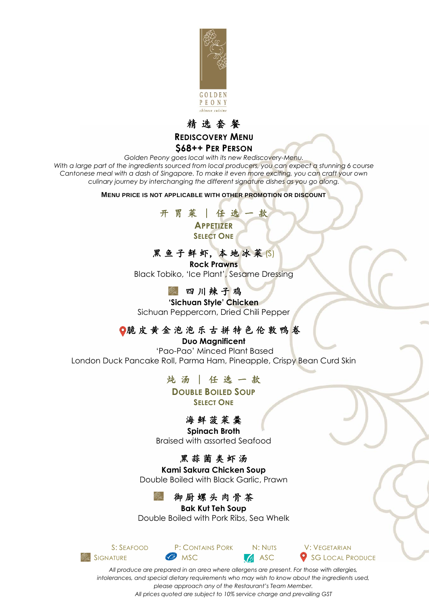



#### **\$68++ PER PERSON**

*Golden Peony goes local with its new Rediscovery-Menu.* With a large part of the ingredients sourced from local producers, you can expect a stunning 6 course *Cantonese meal with a dash of Singapore. To make it even more exciting, you can craft your own culinary journey by interchanging the different signature dishes as you go along.*

#### **MENU PRICE IS NOT APPLICABLE WITH OTHER PROMOTION OR DISCOUNT**

开 胃 菜 ∣ 任 选 一 款 **APPETIZER SELECT ONE**

# 黑鱼子鲜虾,本地冰菜(S)

**Rock Prawns** Black Tobiko, 'Ice Plant', Sesame Dressing

#### ● 四川辣子鸡

**'Sichuan Style' Chicken** Sichuan Peppercorn, Dried Chili Pepper

#### ●脆皮黄金泡泡乐古拼特色伦敦鸭卷

**Duo Magnificent** 'Pao-Pao' Minced Plant Based London Duck Pancake Roll, Parma Ham, Pineapple, Crispy Bean Curd Skin

#### 炖 汤 ∣ 任 选 一 款

**DOUBLE BOILED SOUP SELECT ONE**

#### 海 鲜 菠 菜 羹

**Spinach Broth**

Braised with assorted Seafood

### 黑 蒜 菌 类 虾 汤

**Kami Sakura Chicken Soup** Double Boiled with Black Garlic, Prawn

### 御 厨 螺 头 肉 骨 茶

#### **Bak Kut Teh Soup**

Double Boiled with Pork Ribs, Sea Whelk



SIGNATURE **MSC** MSC **ASC** SG LOCAL PRODUCE

*All produce are prepared in an area where allergens are present. For those with allergies, intolerances, and special dietary requirements who may wish to know about the ingredients used, please approach any of the Restaurant's Team Member. All prices quoted are subject to 10% service charge and prevailing GST*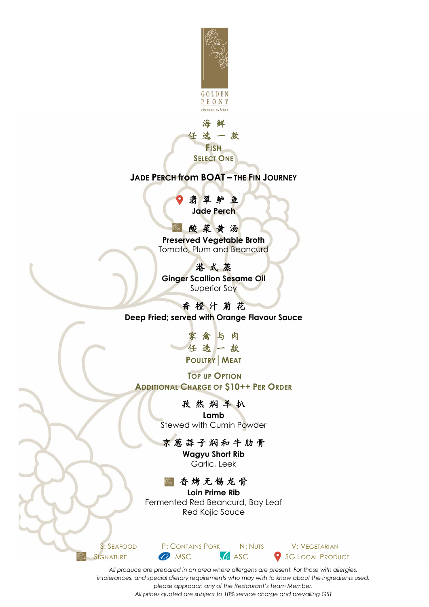



### **TOP UP OPTION**

**ADDITIONAL CHARGE OF \$10++ PER ORDER**

### 孜 然 焖 羊 扒

**Lamb** Stewed with Cumin Powder

## 京 葱 蒜 子 焖 和 牛 肋 骨

**Wagyu Short Rib** Garlic, Leek

## 香 烤 无 锡 龙 骨

**Loin Prime Rib** Fermented Red Beancurd, Bay Leaf Red Kojic Sauce



*All produce are prepared in an area where allergens are present. For those with allergies, intolerances, and special dietary requirements who may wish to know about the ingredients used, please approach any of the Restaurant's Team Member. All prices quoted are subject to 10% service charge and prevailing GST*